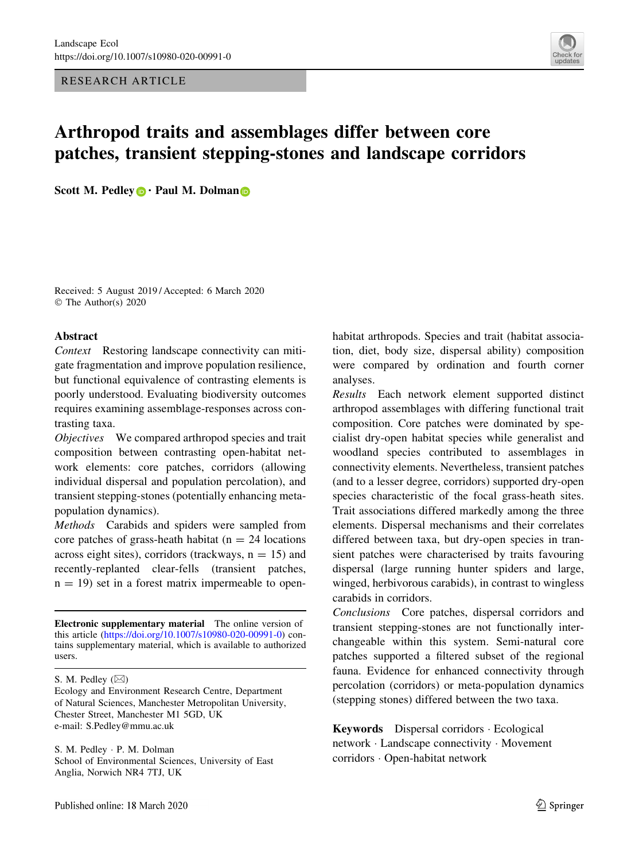RESEARCH ARTICLE



# Arthropod traits and assemblages differ between core patches, transient stepping-stones and landscape corridors

Scott M. Pedley  $\bigcirc$  Paul M. Dolman  $\bigcirc$ 

Received: 5 August 2019 / Accepted: 6 March 2020 © The Author(s) 2020

#### Abstract

Context Restoring landscape connectivity can mitigate fragmentation and improve population resilience, but functional equivalence of contrasting elements is poorly understood. Evaluating biodiversity outcomes requires examining assemblage-responses across contrasting taxa.

Objectives We compared arthropod species and trait composition between contrasting open-habitat network elements: core patches, corridors (allowing individual dispersal and population percolation), and transient stepping-stones (potentially enhancing metapopulation dynamics).

Methods Carabids and spiders were sampled from core patches of grass-heath habitat ( $n = 24$  locations across eight sites), corridors (trackways,  $n = 15$ ) and recently-replanted clear-fells (transient patches,  $n = 19$ ) set in a forest matrix impermeable to open-

Electronic supplementary material The online version of this article [\(https://doi.org/10.1007/s10980-020-00991-0](https://doi.org/10.1007/s10980-020-00991-0)) contains supplementary material, which is available to authorized users.

S. M. Pedley  $(\boxtimes)$ 

S. M. Pedley - P. M. Dolman School of Environmental Sciences, University of East Anglia, Norwich NR4 7TJ, UK

Published online: 18 March 2020

habitat arthropods. Species and trait (habitat association, diet, body size, dispersal ability) composition were compared by ordination and fourth corner analyses.

Results Each network element supported distinct arthropod assemblages with differing functional trait composition. Core patches were dominated by specialist dry-open habitat species while generalist and woodland species contributed to assemblages in connectivity elements. Nevertheless, transient patches (and to a lesser degree, corridors) supported dry-open species characteristic of the focal grass-heath sites. Trait associations differed markedly among the three elements. Dispersal mechanisms and their correlates differed between taxa, but dry-open species in transient patches were characterised by traits favouring dispersal (large running hunter spiders and large, winged, herbivorous carabids), in contrast to wingless carabids in corridors.

Conclusions Core patches, dispersal corridors and transient stepping-stones are not functionally interchangeable within this system. Semi-natural core patches supported a filtered subset of the regional fauna. Evidence for enhanced connectivity through percolation (corridors) or meta-population dynamics (stepping stones) differed between the two taxa.

Keywords Dispersal corridors - Ecological network - Landscape connectivity - Movement corridors - Open-habitat network

Ecology and Environment Research Centre, Department of Natural Sciences, Manchester Metropolitan University, Chester Street, Manchester M1 5GD, UK e-mail: S.Pedley@mmu.ac.uk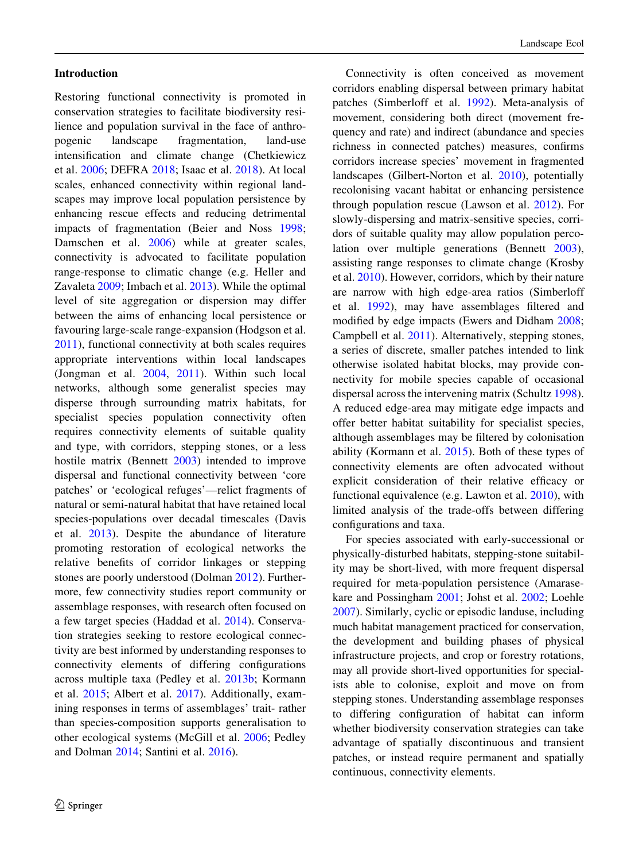## Introduction

Restoring functional connectivity is promoted in conservation strategies to facilitate biodiversity resilience and population survival in the face of anthropogenic landscape fragmentation, land-use intensification and climate change (Chetkiewicz et al. [2006](#page-13-0); DEFRA [2018](#page-13-0); Isaac et al. [2018](#page-14-0)). At local scales, enhanced connectivity within regional landscapes may improve local population persistence by enhancing rescue effects and reducing detrimental impacts of fragmentation (Beier and Noss [1998](#page-13-0); Damschen et al. [2006](#page-13-0)) while at greater scales, connectivity is advocated to facilitate population range-response to climatic change (e.g. Heller and Zavaleta [2009;](#page-14-0) Imbach et al. [2013](#page-14-0)). While the optimal level of site aggregation or dispersion may differ between the aims of enhancing local persistence or favouring large-scale range-expansion (Hodgson et al. [2011\)](#page-14-0), functional connectivity at both scales requires appropriate interventions within local landscapes (Jongman et al. [2004](#page-14-0), [2011](#page-14-0)). Within such local networks, although some generalist species may disperse through surrounding matrix habitats, for specialist species population connectivity often requires connectivity elements of suitable quality and type, with corridors, stepping stones, or a less hostile matrix (Bennett [2003\)](#page-13-0) intended to improve dispersal and functional connectivity between 'core patches' or 'ecological refuges'—relict fragments of natural or semi-natural habitat that have retained local species-populations over decadal timescales (Davis et al. [2013\)](#page-13-0). Despite the abundance of literature promoting restoration of ecological networks the relative benefits of corridor linkages or stepping stones are poorly understood (Dolman [2012](#page-13-0)). Furthermore, few connectivity studies report community or assemblage responses, with research often focused on a few target species (Haddad et al. [2014](#page-14-0)). Conservation strategies seeking to restore ecological connectivity are best informed by understanding responses to connectivity elements of differing configurations across multiple taxa (Pedley et al. [2013b;](#page-15-0) Kormann et al. [2015](#page-14-0); Albert et al. [2017\)](#page-13-0). Additionally, examining responses in terms of assemblages' trait- rather than species-composition supports generalisation to other ecological systems (McGill et al. [2006;](#page-14-0) Pedley and Dolman [2014](#page-15-0); Santini et al. [2016](#page-15-0)).

Connectivity is often conceived as movement corridors enabling dispersal between primary habitat patches (Simberloff et al. [1992\)](#page-15-0). Meta-analysis of movement, considering both direct (movement frequency and rate) and indirect (abundance and species richness in connected patches) measures, confirms corridors increase species' movement in fragmented landscapes (Gilbert-Norton et al. [2010\)](#page-14-0), potentially recolonising vacant habitat or enhancing persistence through population rescue (Lawson et al. [2012](#page-14-0)). For slowly-dispersing and matrix-sensitive species, corridors of suitable quality may allow population percolation over multiple generations (Bennett [2003](#page-13-0)), assisting range responses to climate change (Krosby et al. [2010](#page-14-0)). However, corridors, which by their nature are narrow with high edge-area ratios (Simberloff et al. [1992](#page-15-0)), may have assemblages filtered and modified by edge impacts (Ewers and Didham [2008](#page-13-0); Campbell et al. [2011](#page-13-0)). Alternatively, stepping stones, a series of discrete, smaller patches intended to link otherwise isolated habitat blocks, may provide connectivity for mobile species capable of occasional dispersal across the intervening matrix (Schultz [1998](#page-15-0)). A reduced edge-area may mitigate edge impacts and offer better habitat suitability for specialist species, although assemblages may be filtered by colonisation ability (Kormann et al. [2015](#page-14-0)). Both of these types of connectivity elements are often advocated without explicit consideration of their relative efficacy or functional equivalence (e.g. Lawton et al. [2010](#page-14-0)), with limited analysis of the trade-offs between differing configurations and taxa.

For species associated with early-successional or physically-disturbed habitats, stepping-stone suitability may be short-lived, with more frequent dispersal required for meta-population persistence (Amarasekare and Possingham [2001](#page-13-0); Johst et al. [2002;](#page-14-0) Loehle [2007\)](#page-14-0). Similarly, cyclic or episodic landuse, including much habitat management practiced for conservation, the development and building phases of physical infrastructure projects, and crop or forestry rotations, may all provide short-lived opportunities for specialists able to colonise, exploit and move on from stepping stones. Understanding assemblage responses to differing configuration of habitat can inform whether biodiversity conservation strategies can take advantage of spatially discontinuous and transient patches, or instead require permanent and spatially continuous, connectivity elements.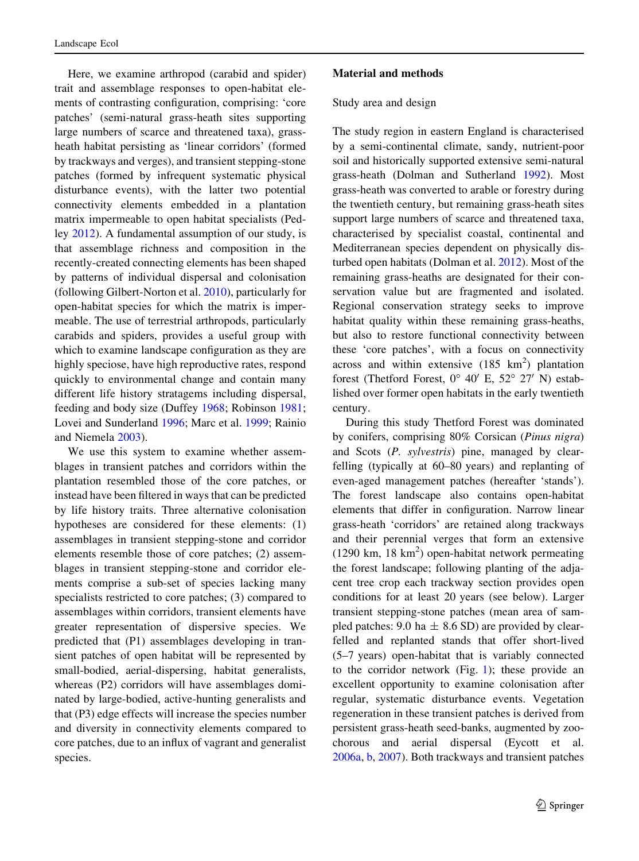Here, we examine arthropod (carabid and spider) trait and assemblage responses to open-habitat elements of contrasting configuration, comprising: 'core patches' (semi-natural grass-heath sites supporting large numbers of scarce and threatened taxa), grassheath habitat persisting as 'linear corridors' (formed by trackways and verges), and transient stepping-stone patches (formed by infrequent systematic physical disturbance events), with the latter two potential connectivity elements embedded in a plantation matrix impermeable to open habitat specialists (Pedley [2012\)](#page-15-0). A fundamental assumption of our study, is that assemblage richness and composition in the recently-created connecting elements has been shaped by patterns of individual dispersal and colonisation (following Gilbert-Norton et al. [2010](#page-14-0)), particularly for open-habitat species for which the matrix is impermeable. The use of terrestrial arthropods, particularly carabids and spiders, provides a useful group with which to examine landscape configuration as they are highly speciose, have high reproductive rates, respond quickly to environmental change and contain many different life history stratagems including dispersal, feeding and body size (Duffey [1968;](#page-13-0) Robinson [1981](#page-15-0); Lovei and Sunderland [1996](#page-14-0); Marc et al. [1999;](#page-14-0) Rainio and Niemela [2003\)](#page-15-0).

We use this system to examine whether assemblages in transient patches and corridors within the plantation resembled those of the core patches, or instead have been filtered in ways that can be predicted by life history traits. Three alternative colonisation hypotheses are considered for these elements: (1) assemblages in transient stepping-stone and corridor elements resemble those of core patches; (2) assemblages in transient stepping-stone and corridor elements comprise a sub-set of species lacking many specialists restricted to core patches; (3) compared to assemblages within corridors, transient elements have greater representation of dispersive species. We predicted that (P1) assemblages developing in transient patches of open habitat will be represented by small-bodied, aerial-dispersing, habitat generalists, whereas (P2) corridors will have assemblages dominated by large-bodied, active-hunting generalists and that (P3) edge effects will increase the species number and diversity in connectivity elements compared to core patches, due to an influx of vagrant and generalist species.

## Material and methods

## Study area and design

The study region in eastern England is characterised by a semi-continental climate, sandy, nutrient-poor soil and historically supported extensive semi-natural grass-heath (Dolman and Sutherland [1992\)](#page-13-0). Most grass-heath was converted to arable or forestry during the twentieth century, but remaining grass-heath sites support large numbers of scarce and threatened taxa, characterised by specialist coastal, continental and Mediterranean species dependent on physically disturbed open habitats (Dolman et al. [2012\)](#page-13-0). Most of the remaining grass-heaths are designated for their conservation value but are fragmented and isolated. Regional conservation strategy seeks to improve habitat quality within these remaining grass-heaths, but also to restore functional connectivity between these 'core patches', with a focus on connectivity across and within extensive  $(185 \text{ km}^2)$  plantation forest (Thetford Forest,  $0^{\circ}$  40' E, 52° 27' N) established over former open habitats in the early twentieth century.

During this study Thetford Forest was dominated by conifers, comprising 80% Corsican (Pinus nigra) and Scots (P. sylvestris) pine, managed by clearfelling (typically at 60–80 years) and replanting of even-aged management patches (hereafter 'stands'). The forest landscape also contains open-habitat elements that differ in configuration. Narrow linear grass-heath 'corridors' are retained along trackways and their perennial verges that form an extensive (1290 km, 18 km<sup>2</sup>) open-habitat network permeating the forest landscape; following planting of the adjacent tree crop each trackway section provides open conditions for at least 20 years (see below). Larger transient stepping-stone patches (mean area of sampled patches: 9.0 ha  $\pm$  8.6 SD) are provided by clearfelled and replanted stands that offer short-lived (5–7 years) open-habitat that is variably connected to the corridor network (Fig. [1](#page-3-0)); these provide an excellent opportunity to examine colonisation after regular, systematic disturbance events. Vegetation regeneration in these transient patches is derived from persistent grass-heath seed-banks, augmented by zoochorous and aerial dispersal (Eycott et al. [2006a](#page-13-0), [b](#page-13-0), [2007\)](#page-13-0). Both trackways and transient patches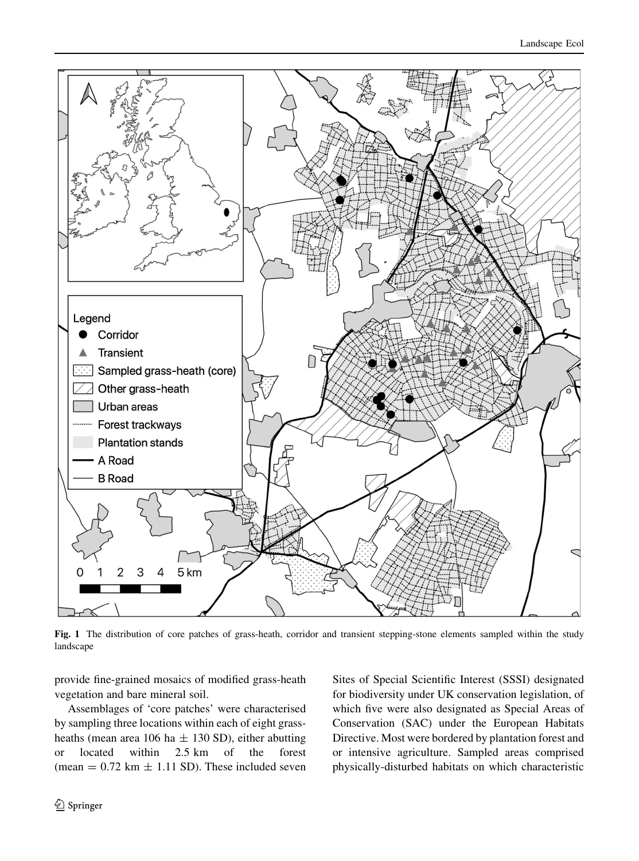<span id="page-3-0"></span>

Fig. 1 The distribution of core patches of grass-heath, corridor and transient stepping-stone elements sampled within the study landscape

provide fine-grained mosaics of modified grass-heath vegetation and bare mineral soil.

Assemblages of 'core patches' were characterised by sampling three locations within each of eight grassheaths (mean area 106 ha  $\pm$  130 SD), either abutting or located within 2.5 km of the forest (mean  $= 0.72$  km  $\pm$  1.11 SD). These included seven

Sites of Special Scientific Interest (SSSI) designated for biodiversity under UK conservation legislation, of which five were also designated as Special Areas of Conservation (SAC) under the European Habitats Directive. Most were bordered by plantation forest and or intensive agriculture. Sampled areas comprised physically-disturbed habitats on which characteristic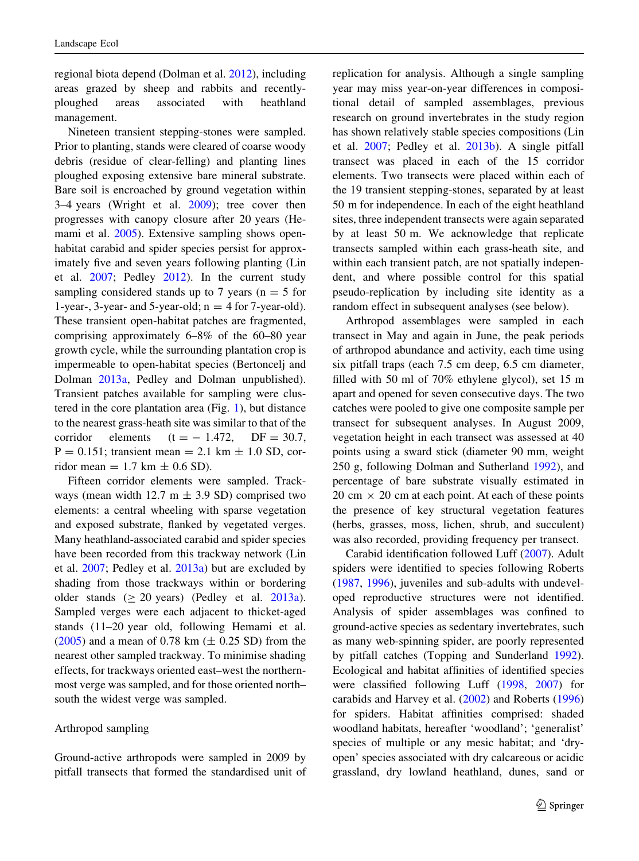regional biota depend (Dolman et al. [2012](#page-13-0)), including areas grazed by sheep and rabbits and recentlyploughed areas associated with heathland management.

Nineteen transient stepping-stones were sampled. Prior to planting, stands were cleared of coarse woody debris (residue of clear-felling) and planting lines ploughed exposing extensive bare mineral substrate. Bare soil is encroached by ground vegetation within 3–4 years (Wright et al. [2009\)](#page-15-0); tree cover then progresses with canopy closure after 20 years (He-mami et al. [2005\)](#page-14-0). Extensive sampling shows openhabitat carabid and spider species persist for approximately five and seven years following planting (Lin et al. [2007;](#page-14-0) Pedley [2012\)](#page-15-0). In the current study sampling considered stands up to 7 years ( $n = 5$  for 1-year-, 3-year- and 5-year-old;  $n = 4$  for 7-year-old). These transient open-habitat patches are fragmented, comprising approximately 6–8% of the 60–80 year growth cycle, while the surrounding plantation crop is impermeable to open-habitat species (Bertoncelj and Dolman [2013a,](#page-13-0) Pedley and Dolman unpublished). Transient patches available for sampling were clustered in the core plantation area (Fig. [1](#page-3-0)), but distance to the nearest grass-heath site was similar to that of the corridor elements  $(t = -1.472, DF = 30.7,$  $P = 0.151$ ; transient mean = 2.1 km  $\pm$  1.0 SD, corridor mean  $= 1.7$  km  $\pm$  0.6 SD).

Fifteen corridor elements were sampled. Trackways (mean width 12.7 m  $\pm$  3.9 SD) comprised two elements: a central wheeling with sparse vegetation and exposed substrate, flanked by vegetated verges. Many heathland-associated carabid and spider species have been recorded from this trackway network (Lin et al. [2007](#page-14-0); Pedley et al. [2013a\)](#page-15-0) but are excluded by shading from those trackways within or bordering older stands  $(> 20 \text{ years})$  (Pedley et al. [2013a](#page-15-0)). Sampled verges were each adjacent to thicket-aged stands (11–20 year old, following Hemami et al.  $(2005)$  $(2005)$  and a mean of 0.78 km ( $\pm$  0.25 SD) from the nearest other sampled trackway. To minimise shading effects, for trackways oriented east–west the northernmost verge was sampled, and for those oriented north– south the widest verge was sampled.

#### Arthropod sampling

Ground-active arthropods were sampled in 2009 by pitfall transects that formed the standardised unit of replication for analysis. Although a single sampling year may miss year-on-year differences in compositional detail of sampled assemblages, previous research on ground invertebrates in the study region has shown relatively stable species compositions (Lin et al. [2007;](#page-14-0) Pedley et al. [2013b](#page-15-0)). A single pitfall transect was placed in each of the 15 corridor elements. Two transects were placed within each of the 19 transient stepping-stones, separated by at least 50 m for independence. In each of the eight heathland sites, three independent transects were again separated by at least 50 m. We acknowledge that replicate transects sampled within each grass-heath site, and within each transient patch, are not spatially independent, and where possible control for this spatial pseudo-replication by including site identity as a random effect in subsequent analyses (see below).

Arthropod assemblages were sampled in each transect in May and again in June, the peak periods of arthropod abundance and activity, each time using six pitfall traps (each 7.5 cm deep, 6.5 cm diameter, filled with 50 ml of 70% ethylene glycol), set 15 m apart and opened for seven consecutive days. The two catches were pooled to give one composite sample per transect for subsequent analyses. In August 2009, vegetation height in each transect was assessed at 40 points using a sward stick (diameter 90 mm, weight 250 g, following Dolman and Sutherland [1992\)](#page-13-0), and percentage of bare substrate visually estimated in  $20 \text{ cm} \times 20 \text{ cm}$  at each point. At each of these points the presence of key structural vegetation features (herbs, grasses, moss, lichen, shrub, and succulent) was also recorded, providing frequency per transect.

Carabid identification followed Luff ([2007\)](#page-14-0). Adult spiders were identified to species following Roberts [\(1987](#page-15-0), [1996\)](#page-15-0), juveniles and sub-adults with undeveloped reproductive structures were not identified. Analysis of spider assemblages was confined to ground-active species as sedentary invertebrates, such as many web-spinning spider, are poorly represented by pitfall catches (Topping and Sunderland [1992](#page-15-0)). Ecological and habitat affinities of identified species were classified following Luff [\(1998](#page-14-0), [2007](#page-14-0)) for carabids and Harvey et al. ([2002](#page-14-0)) and Roberts ([1996\)](#page-15-0) for spiders. Habitat affinities comprised: shaded woodland habitats, hereafter 'woodland'; 'generalist' species of multiple or any mesic habitat; and 'dryopen' species associated with dry calcareous or acidic grassland, dry lowland heathland, dunes, sand or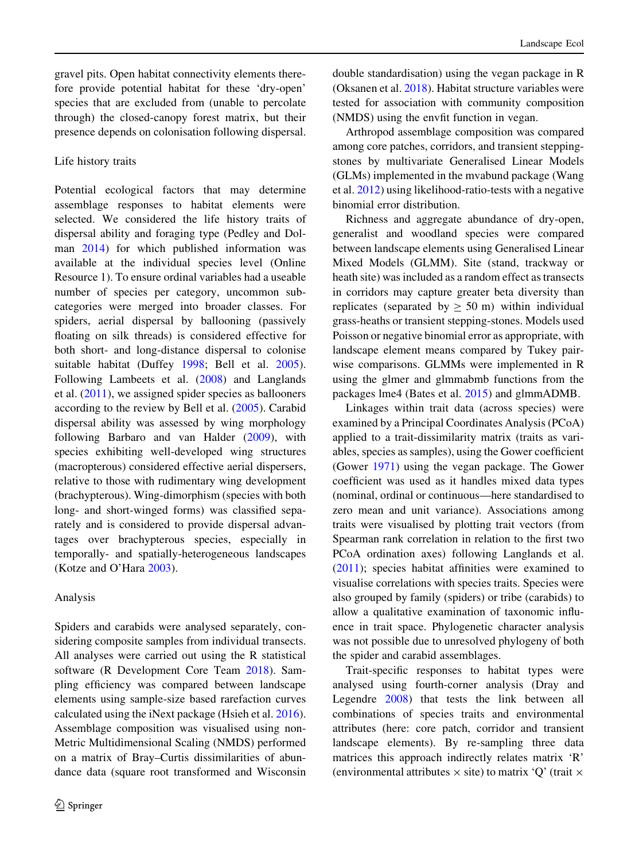gravel pits. Open habitat connectivity elements therefore provide potential habitat for these 'dry-open' species that are excluded from (unable to percolate through) the closed-canopy forest matrix, but their presence depends on colonisation following dispersal.

## Life history traits

Potential ecological factors that may determine assemblage responses to habitat elements were selected. We considered the life history traits of dispersal ability and foraging type (Pedley and Dolman [2014](#page-15-0)) for which published information was available at the individual species level (Online Resource 1). To ensure ordinal variables had a useable number of species per category, uncommon subcategories were merged into broader classes. For spiders, aerial dispersal by ballooning (passively floating on silk threads) is considered effective for both short- and long-distance dispersal to colonise suitable habitat (Duffey [1998](#page-13-0); Bell et al. [2005](#page-13-0)). Following Lambeets et al. ([2008\)](#page-14-0) and Langlands et al. [\(2011](#page-14-0)), we assigned spider species as ballooners according to the review by Bell et al. [\(2005](#page-13-0)). Carabid dispersal ability was assessed by wing morphology following Barbaro and van Halder ([2009\)](#page-13-0), with species exhibiting well-developed wing structures (macropterous) considered effective aerial dispersers, relative to those with rudimentary wing development (brachypterous). Wing-dimorphism (species with both long- and short-winged forms) was classified separately and is considered to provide dispersal advantages over brachypterous species, especially in temporally- and spatially-heterogeneous landscapes (Kotze and O'Hara [2003\)](#page-14-0).

## Analysis

Spiders and carabids were analysed separately, considering composite samples from individual transects. All analyses were carried out using the R statistical software (R Development Core Team [2018\)](#page-15-0). Sampling efficiency was compared between landscape elements using sample-size based rarefaction curves calculated using the iNext package (Hsieh et al. [2016](#page-14-0)). Assemblage composition was visualised using non-Metric Multidimensional Scaling (NMDS) performed on a matrix of Bray–Curtis dissimilarities of abundance data (square root transformed and Wisconsin

double standardisation) using the vegan package in R (Oksanen et al. [2018](#page-15-0)). Habitat structure variables were tested for association with community composition (NMDS) using the envfit function in vegan.

Arthropod assemblage composition was compared among core patches, corridors, and transient steppingstones by multivariate Generalised Linear Models (GLMs) implemented in the mvabund package (Wang et al. [2012\)](#page-15-0) using likelihood-ratio-tests with a negative binomial error distribution.

Richness and aggregate abundance of dry-open, generalist and woodland species were compared between landscape elements using Generalised Linear Mixed Models (GLMM). Site (stand, trackway or heath site) was included as a random effect as transects in corridors may capture greater beta diversity than replicates (separated by  $\geq$  50 m) within individual grass-heaths or transient stepping-stones. Models used Poisson or negative binomial error as appropriate, with landscape element means compared by Tukey pairwise comparisons. GLMMs were implemented in R using the glmer and glmmabmb functions from the packages lme4 (Bates et al. [2015](#page-13-0)) and glmmADMB.

Linkages within trait data (across species) were examined by a Principal Coordinates Analysis (PCoA) applied to a trait-dissimilarity matrix (traits as variables, species as samples), using the Gower coefficient (Gower [1971\)](#page-14-0) using the vegan package. The Gower coefficient was used as it handles mixed data types (nominal, ordinal or continuous—here standardised to zero mean and unit variance). Associations among traits were visualised by plotting trait vectors (from Spearman rank correlation in relation to the first two PCoA ordination axes) following Langlands et al. [\(2011](#page-14-0)); species habitat affinities were examined to visualise correlations with species traits. Species were also grouped by family (spiders) or tribe (carabids) to allow a qualitative examination of taxonomic influence in trait space. Phylogenetic character analysis was not possible due to unresolved phylogeny of both the spider and carabid assemblages.

Trait-specific responses to habitat types were analysed using fourth-corner analysis (Dray and Legendre [2008\)](#page-13-0) that tests the link between all combinations of species traits and environmental attributes (here: core patch, corridor and transient landscape elements). By re-sampling three data matrices this approach indirectly relates matrix 'R' (environmental attributes  $\times$  site) to matrix 'Q' (trait  $\times$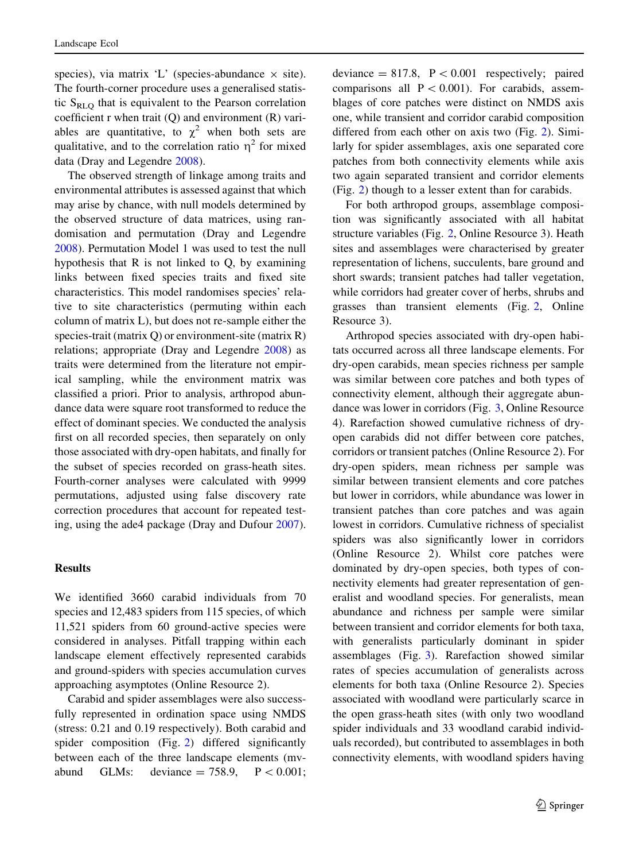species), via matrix 'L' (species-abundance  $\times$  site). The fourth-corner procedure uses a generalised statistic  $S_{RLQ}$  that is equivalent to the Pearson correlation coefficient r when trait (Q) and environment (R) variables are quantitative, to  $\chi^2$  when both sets are qualitative, and to the correlation ratio  $n<sup>2</sup>$  for mixed data (Dray and Legendre [2008](#page-13-0)).

The observed strength of linkage among traits and environmental attributes is assessed against that which may arise by chance, with null models determined by the observed structure of data matrices, using randomisation and permutation (Dray and Legendre [2008\)](#page-13-0). Permutation Model 1 was used to test the null hypothesis that R is not linked to Q, by examining links between fixed species traits and fixed site characteristics. This model randomises species' relative to site characteristics (permuting within each column of matrix L), but does not re-sample either the species-trait (matrix Q) or environment-site (matrix R) relations; appropriate (Dray and Legendre [2008](#page-13-0)) as traits were determined from the literature not empirical sampling, while the environment matrix was classified a priori. Prior to analysis, arthropod abundance data were square root transformed to reduce the effect of dominant species. We conducted the analysis first on all recorded species, then separately on only those associated with dry-open habitats, and finally for the subset of species recorded on grass-heath sites. Fourth-corner analyses were calculated with 9999 permutations, adjusted using false discovery rate correction procedures that account for repeated testing, using the ade4 package (Dray and Dufour [2007](#page-13-0)).

### Results

We identified 3660 carabid individuals from 70 species and 12,483 spiders from 115 species, of which 11,521 spiders from 60 ground-active species were considered in analyses. Pitfall trapping within each landscape element effectively represented carabids and ground-spiders with species accumulation curves approaching asymptotes (Online Resource 2).

Carabid and spider assemblages were also successfully represented in ordination space using NMDS (stress: 0.21 and 0.19 respectively). Both carabid and spider composition (Fig. [2\)](#page-7-0) differed significantly between each of the three landscape elements (mvabund GLMs: deviance  $= 758.9$ ,  $P < 0.001$ ; deviance  $= 817.8$ ,  $P \lt 0.001$  respectively; paired comparisons all  $P < 0.001$ ). For carabids, assemblages of core patches were distinct on NMDS axis one, while transient and corridor carabid composition differed from each other on axis two (Fig. [2\)](#page-7-0). Similarly for spider assemblages, axis one separated core patches from both connectivity elements while axis two again separated transient and corridor elements (Fig. [2](#page-7-0)) though to a lesser extent than for carabids.

For both arthropod groups, assemblage composition was significantly associated with all habitat structure variables (Fig. [2,](#page-7-0) Online Resource 3). Heath sites and assemblages were characterised by greater representation of lichens, succulents, bare ground and short swards; transient patches had taller vegetation, while corridors had greater cover of herbs, shrubs and grasses than transient elements (Fig. [2](#page-7-0), Online Resource 3).

Arthropod species associated with dry-open habitats occurred across all three landscape elements. For dry-open carabids, mean species richness per sample was similar between core patches and both types of connectivity element, although their aggregate abundance was lower in corridors (Fig. [3,](#page-8-0) Online Resource 4). Rarefaction showed cumulative richness of dryopen carabids did not differ between core patches, corridors or transient patches (Online Resource 2). For dry-open spiders, mean richness per sample was similar between transient elements and core patches but lower in corridors, while abundance was lower in transient patches than core patches and was again lowest in corridors. Cumulative richness of specialist spiders was also significantly lower in corridors (Online Resource 2). Whilst core patches were dominated by dry-open species, both types of connectivity elements had greater representation of generalist and woodland species. For generalists, mean abundance and richness per sample were similar between transient and corridor elements for both taxa, with generalists particularly dominant in spider assemblages (Fig. [3](#page-8-0)). Rarefaction showed similar rates of species accumulation of generalists across elements for both taxa (Online Resource 2). Species associated with woodland were particularly scarce in the open grass-heath sites (with only two woodland spider individuals and 33 woodland carabid individuals recorded), but contributed to assemblages in both connectivity elements, with woodland spiders having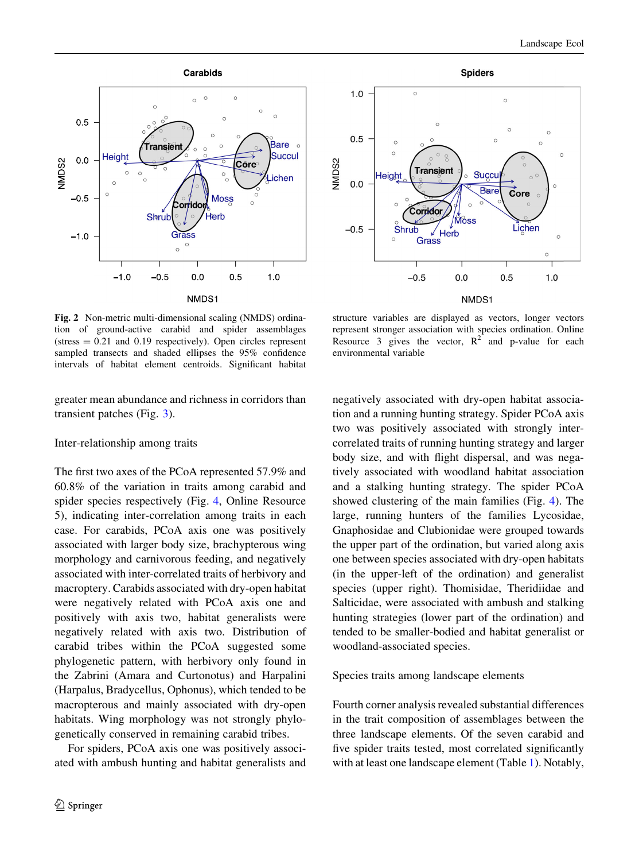<span id="page-7-0"></span>



represent stronger association with species ordination. Online Resource 3 gives the vector,  $R^2$  and p-value for each

Fig. 2 Non-metric multi-dimensional scaling (NMDS) ordination of ground-active carabid and spider assemblages  $(s$ tress  $= 0.21$  and 0.19 respectively). Open circles represent sampled transects and shaded ellipses the 95% confidence intervals of habitat element centroids. Significant habitat

greater mean abundance and richness in corridors than transient patches (Fig. [3](#page-8-0)).

## Inter-relationship among traits

The first two axes of the PCoA represented 57.9% and 60.8% of the variation in traits among carabid and spider species respectively (Fig. [4,](#page-9-0) Online Resource 5), indicating inter-correlation among traits in each case. For carabids, PCoA axis one was positively associated with larger body size, brachypterous wing morphology and carnivorous feeding, and negatively associated with inter-correlated traits of herbivory and macroptery. Carabids associated with dry-open habitat were negatively related with PCoA axis one and positively with axis two, habitat generalists were negatively related with axis two. Distribution of carabid tribes within the PCoA suggested some phylogenetic pattern, with herbivory only found in the Zabrini (Amara and Curtonotus) and Harpalini (Harpalus, Bradycellus, Ophonus), which tended to be macropterous and mainly associated with dry-open habitats. Wing morphology was not strongly phylogenetically conserved in remaining carabid tribes.

For spiders, PCoA axis one was positively associated with ambush hunting and habitat generalists and

negatively associated with dry-open habitat association and a running hunting strategy. Spider PCoA axis two was positively associated with strongly intercorrelated traits of running hunting strategy and larger body size, and with flight dispersal, and was negatively associated with woodland habitat association and a stalking hunting strategy. The spider PCoA showed clustering of the main families (Fig. [4\)](#page-9-0). The large, running hunters of the families Lycosidae, Gnaphosidae and Clubionidae were grouped towards the upper part of the ordination, but varied along axis one between species associated with dry-open habitats (in the upper-left of the ordination) and generalist species (upper right). Thomisidae, Theridiidae and Salticidae, were associated with ambush and stalking hunting strategies (lower part of the ordination) and

## Species traits among landscape elements

woodland-associated species.

environmental variable

Fourth corner analysis revealed substantial differences in the trait composition of assemblages between the three landscape elements. Of the seven carabid and five spider traits tested, most correlated significantly with at least one landscape element (Table [1\)](#page-9-0). Notably,

tended to be smaller-bodied and habitat generalist or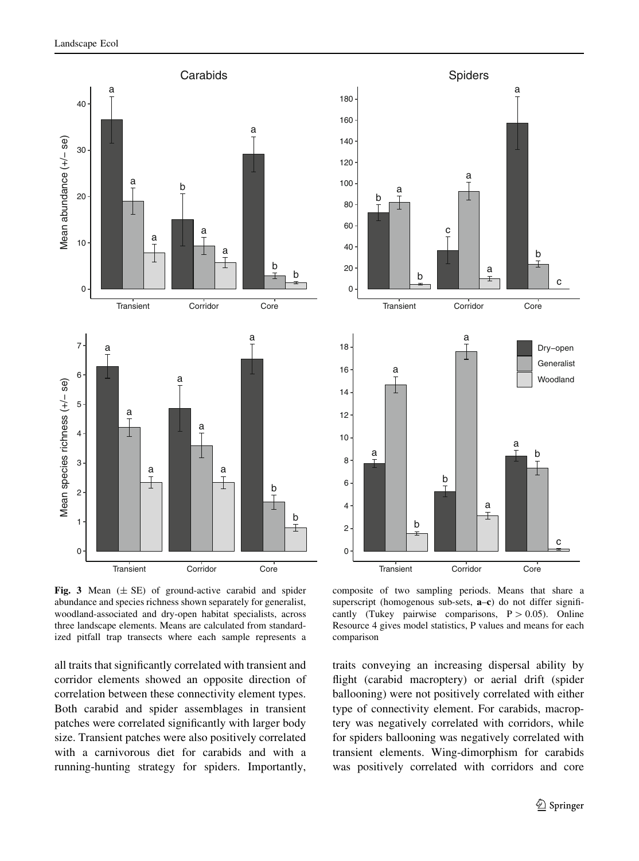<span id="page-8-0"></span>

Fig. 3 Mean  $(\pm S$ E) of ground-active carabid and spider abundance and species richness shown separately for generalist, woodland-associated and dry-open habitat specialists, across three landscape elements. Means are calculated from standardized pitfall trap transects where each sample represents a

all traits that significantly correlated with transient and corridor elements showed an opposite direction of correlation between these connectivity element types. Both carabid and spider assemblages in transient patches were correlated significantly with larger body size. Transient patches were also positively correlated with a carnivorous diet for carabids and with a running-hunting strategy for spiders. Importantly,



composite of two sampling periods. Means that share a superscript (homogenous sub-sets, **a–c**) do not differ significantly (Tukey pairwise comparisons,  $P > 0.05$ ). Online Resource 4 gives model statistics, P values and means for each comparison

traits conveying an increasing dispersal ability by flight (carabid macroptery) or aerial drift (spider ballooning) were not positively correlated with either type of connectivity element. For carabids, macroptery was negatively correlated with corridors, while for spiders ballooning was negatively correlated with transient elements. Wing-dimorphism for carabids was positively correlated with corridors and core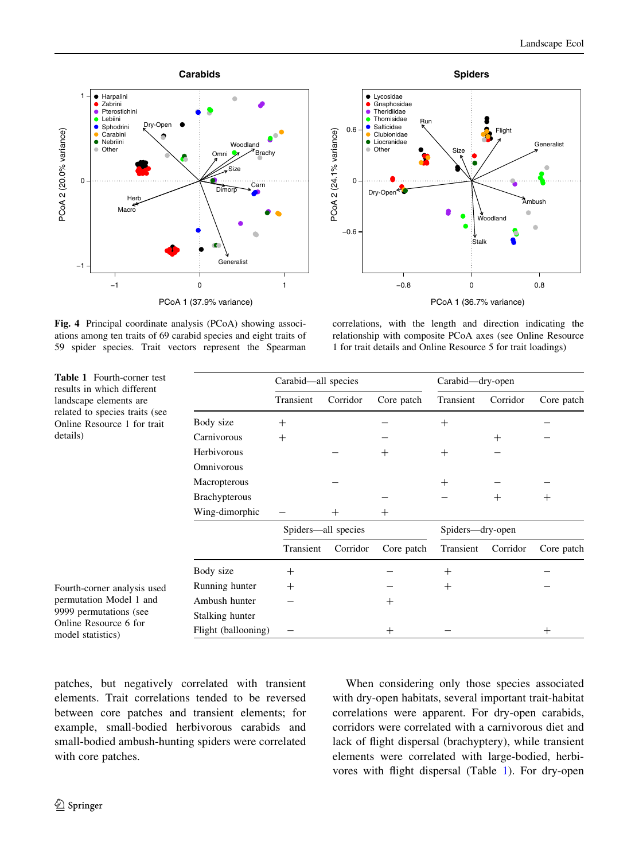<span id="page-9-0"></span>



Fig. 4 Principal coordinate analysis (PCoA) showing associations among ten traits of 69 carabid species and eight traits of 59 spider species. Trait vectors represent the Spearman

correlations, with the length and direction indicating the relationship with composite PCoA axes (see Online Resource 1 for trait details and Online Resource 5 for trait loadings)

| <b>Table 1</b> Fourth-corner test<br>results in which different                                                                |                      | Carabid—all species |          |            | Carabid-dry-open |          |            |
|--------------------------------------------------------------------------------------------------------------------------------|----------------------|---------------------|----------|------------|------------------|----------|------------|
| landscape elements are<br>related to species traits (see<br>Online Resource 1 for trait<br>details)                            |                      | Transient           | Corridor | Core patch | Transient        | Corridor | Core patch |
|                                                                                                                                | Body size            | $^{+}$              |          |            | $^{+}$           |          |            |
|                                                                                                                                | Carnivorous          | $^{+}$              |          |            |                  | $^{+}$   |            |
|                                                                                                                                | Herbivorous          |                     |          | $^{+}$     | $^{+}$           |          |            |
|                                                                                                                                | Omnivorous           |                     |          |            |                  |          |            |
|                                                                                                                                | Macropterous         |                     |          |            | $^{+}$           |          |            |
|                                                                                                                                | <b>Brachypterous</b> |                     |          |            |                  | $^{+}$   | $^{+}$     |
|                                                                                                                                | Wing-dimorphic       |                     | $^{+}$   | $^{+}$     |                  |          |            |
|                                                                                                                                |                      | Spiders—all species |          |            | Spiders—dry-open |          |            |
|                                                                                                                                |                      | Transient           | Corridor | Core patch | Transient        | Corridor | Core patch |
|                                                                                                                                | Body size            | $^{+}$              |          |            | $^{+}$           |          |            |
| Fourth-corner analysis used<br>permutation Model 1 and<br>9999 permutations (see<br>Online Resource 6 for<br>model statistics) | Running hunter       | $\hspace{0.1mm} +$  |          |            | $^{+}$           |          |            |
|                                                                                                                                | Ambush hunter        |                     |          | $^{+}$     |                  |          |            |
|                                                                                                                                | Stalking hunter      |                     |          |            |                  |          |            |
|                                                                                                                                | Flight (ballooning)  |                     |          | $^{+}$     |                  |          | $^{+}$     |

patches, but negatively correlated with transient elements. Trait correlations tended to be reversed between core patches and transient elements; for example, small-bodied herbivorous carabids and small-bodied ambush-hunting spiders were correlated with core patches.

When considering only those species associated with dry-open habitats, several important trait-habitat correlations were apparent. For dry-open carabids, corridors were correlated with a carnivorous diet and lack of flight dispersal (brachyptery), while transient elements were correlated with large-bodied, herbivores with flight dispersal (Table 1). For dry-open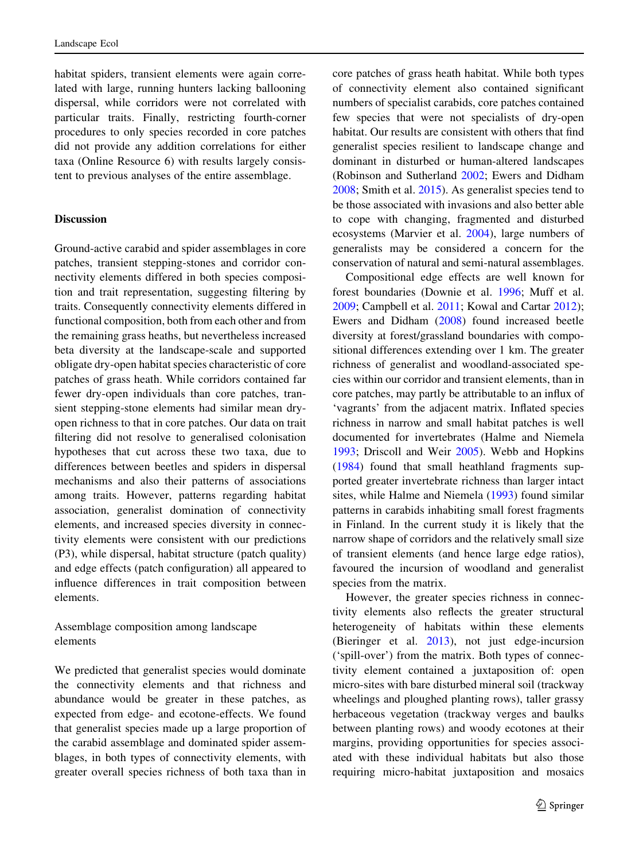habitat spiders, transient elements were again correlated with large, running hunters lacking ballooning dispersal, while corridors were not correlated with particular traits. Finally, restricting fourth-corner procedures to only species recorded in core patches did not provide any addition correlations for either taxa (Online Resource 6) with results largely consistent to previous analyses of the entire assemblage.

## Discussion

Ground-active carabid and spider assemblages in core patches, transient stepping-stones and corridor connectivity elements differed in both species composition and trait representation, suggesting filtering by traits. Consequently connectivity elements differed in functional composition, both from each other and from the remaining grass heaths, but nevertheless increased beta diversity at the landscape-scale and supported obligate dry-open habitat species characteristic of core patches of grass heath. While corridors contained far fewer dry-open individuals than core patches, transient stepping-stone elements had similar mean dryopen richness to that in core patches. Our data on trait filtering did not resolve to generalised colonisation hypotheses that cut across these two taxa, due to differences between beetles and spiders in dispersal mechanisms and also their patterns of associations among traits. However, patterns regarding habitat association, generalist domination of connectivity elements, and increased species diversity in connectivity elements were consistent with our predictions (P3), while dispersal, habitat structure (patch quality) and edge effects (patch configuration) all appeared to influence differences in trait composition between elements.

Assemblage composition among landscape elements

We predicted that generalist species would dominate the connectivity elements and that richness and abundance would be greater in these patches, as expected from edge- and ecotone-effects. We found that generalist species made up a large proportion of the carabid assemblage and dominated spider assemblages, in both types of connectivity elements, with greater overall species richness of both taxa than in

core patches of grass heath habitat. While both types of connectivity element also contained significant numbers of specialist carabids, core patches contained few species that were not specialists of dry-open habitat. Our results are consistent with others that find generalist species resilient to landscape change and dominant in disturbed or human-altered landscapes (Robinson and Sutherland [2002](#page-15-0); Ewers and Didham [2008;](#page-13-0) Smith et al. [2015](#page-15-0)). As generalist species tend to be those associated with invasions and also better able to cope with changing, fragmented and disturbed ecosystems (Marvier et al. [2004](#page-14-0)), large numbers of generalists may be considered a concern for the conservation of natural and semi-natural assemblages.

Compositional edge effects are well known for forest boundaries (Downie et al. [1996](#page-13-0); Muff et al. [2009;](#page-15-0) Campbell et al. [2011](#page-13-0); Kowal and Cartar [2012](#page-14-0)); Ewers and Didham ([2008\)](#page-13-0) found increased beetle diversity at forest/grassland boundaries with compositional differences extending over 1 km. The greater richness of generalist and woodland-associated species within our corridor and transient elements, than in core patches, may partly be attributable to an influx of 'vagrants' from the adjacent matrix. Inflated species richness in narrow and small habitat patches is well documented for invertebrates (Halme and Niemela [1993;](#page-14-0) Driscoll and Weir [2005](#page-13-0)). Webb and Hopkins [\(1984](#page-15-0)) found that small heathland fragments supported greater invertebrate richness than larger intact sites, while Halme and Niemela [\(1993](#page-14-0)) found similar patterns in carabids inhabiting small forest fragments in Finland. In the current study it is likely that the narrow shape of corridors and the relatively small size of transient elements (and hence large edge ratios), favoured the incursion of woodland and generalist species from the matrix.

However, the greater species richness in connectivity elements also reflects the greater structural heterogeneity of habitats within these elements (Bieringer et al. [2013](#page-13-0)), not just edge-incursion ('spill-over') from the matrix. Both types of connectivity element contained a juxtaposition of: open micro-sites with bare disturbed mineral soil (trackway wheelings and ploughed planting rows), taller grassy herbaceous vegetation (trackway verges and baulks between planting rows) and woody ecotones at their margins, providing opportunities for species associated with these individual habitats but also those requiring micro-habitat juxtaposition and mosaics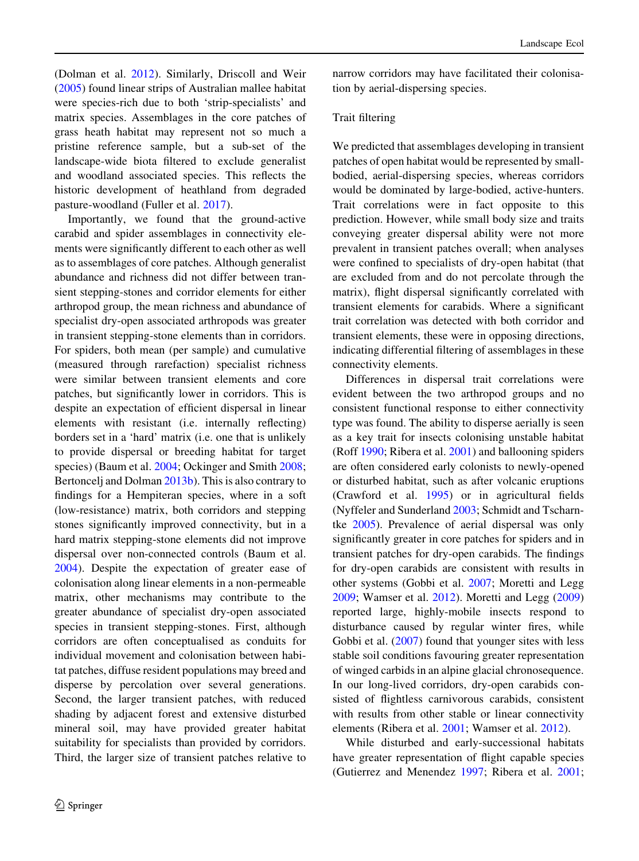(Dolman et al. [2012](#page-13-0)). Similarly, Driscoll and Weir [\(2005](#page-13-0)) found linear strips of Australian mallee habitat were species-rich due to both 'strip-specialists' and matrix species. Assemblages in the core patches of grass heath habitat may represent not so much a pristine reference sample, but a sub-set of the landscape-wide biota filtered to exclude generalist and woodland associated species. This reflects the historic development of heathland from degraded pasture-woodland (Fuller et al. [2017\)](#page-13-0).

Importantly, we found that the ground-active carabid and spider assemblages in connectivity elements were significantly different to each other as well as to assemblages of core patches. Although generalist abundance and richness did not differ between transient stepping-stones and corridor elements for either arthropod group, the mean richness and abundance of specialist dry-open associated arthropods was greater in transient stepping-stone elements than in corridors. For spiders, both mean (per sample) and cumulative (measured through rarefaction) specialist richness were similar between transient elements and core patches, but significantly lower in corridors. This is despite an expectation of efficient dispersal in linear elements with resistant (i.e. internally reflecting) borders set in a 'hard' matrix (i.e. one that is unlikely to provide dispersal or breeding habitat for target species) (Baum et al. [2004](#page-13-0); Ockinger and Smith [2008](#page-15-0); Bertoncelj and Dolman [2013b\)](#page-13-0). This is also contrary to findings for a Hempiteran species, where in a soft (low-resistance) matrix, both corridors and stepping stones significantly improved connectivity, but in a hard matrix stepping-stone elements did not improve dispersal over non-connected controls (Baum et al. [2004\)](#page-13-0). Despite the expectation of greater ease of colonisation along linear elements in a non-permeable matrix, other mechanisms may contribute to the greater abundance of specialist dry-open associated species in transient stepping-stones. First, although corridors are often conceptualised as conduits for individual movement and colonisation between habitat patches, diffuse resident populations may breed and disperse by percolation over several generations. Second, the larger transient patches, with reduced shading by adjacent forest and extensive disturbed mineral soil, may have provided greater habitat suitability for specialists than provided by corridors. Third, the larger size of transient patches relative to

narrow corridors may have facilitated their colonisation by aerial-dispersing species.

## Trait filtering

We predicted that assemblages developing in transient patches of open habitat would be represented by smallbodied, aerial-dispersing species, whereas corridors would be dominated by large-bodied, active-hunters. Trait correlations were in fact opposite to this prediction. However, while small body size and traits conveying greater dispersal ability were not more prevalent in transient patches overall; when analyses were confined to specialists of dry-open habitat (that are excluded from and do not percolate through the matrix), flight dispersal significantly correlated with transient elements for carabids. Where a significant trait correlation was detected with both corridor and transient elements, these were in opposing directions, indicating differential filtering of assemblages in these connectivity elements.

Differences in dispersal trait correlations were evident between the two arthropod groups and no consistent functional response to either connectivity type was found. The ability to disperse aerially is seen as a key trait for insects colonising unstable habitat (Roff [1990;](#page-15-0) Ribera et al. [2001\)](#page-15-0) and ballooning spiders are often considered early colonists to newly-opened or disturbed habitat, such as after volcanic eruptions (Crawford et al. [1995\)](#page-13-0) or in agricultural fields (Nyffeler and Sunderland [2003](#page-15-0); Schmidt and Tscharntke [2005\)](#page-15-0). Prevalence of aerial dispersal was only significantly greater in core patches for spiders and in transient patches for dry-open carabids. The findings for dry-open carabids are consistent with results in other systems (Gobbi et al. [2007](#page-14-0); Moretti and Legg [2009;](#page-15-0) Wamser et al. [2012](#page-15-0)). Moretti and Legg ([2009\)](#page-15-0) reported large, highly-mobile insects respond to disturbance caused by regular winter fires, while Gobbi et al. ([2007\)](#page-14-0) found that younger sites with less stable soil conditions favouring greater representation of winged carbids in an alpine glacial chronosequence. In our long-lived corridors, dry-open carabids consisted of flightless carnivorous carabids, consistent with results from other stable or linear connectivity elements (Ribera et al. [2001;](#page-15-0) Wamser et al. [2012](#page-15-0)).

While disturbed and early-successional habitats have greater representation of flight capable species (Gutierrez and Menendez [1997](#page-14-0); Ribera et al. [2001](#page-15-0);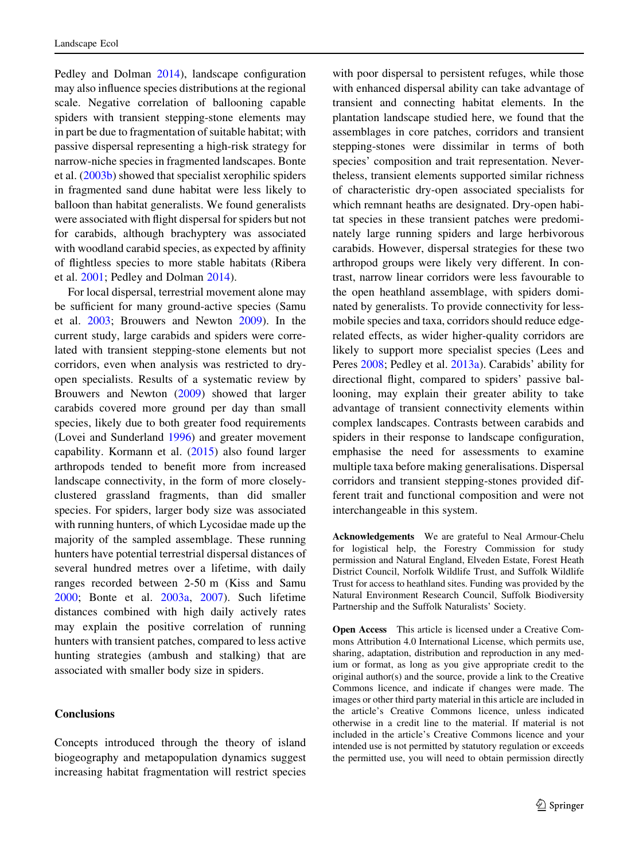Pedley and Dolman [2014](#page-15-0)), landscape configuration may also influence species distributions at the regional scale. Negative correlation of ballooning capable spiders with transient stepping-stone elements may in part be due to fragmentation of suitable habitat; with passive dispersal representing a high-risk strategy for narrow-niche species in fragmented landscapes. Bonte et al. [\(2003b](#page-13-0)) showed that specialist xerophilic spiders in fragmented sand dune habitat were less likely to balloon than habitat generalists. We found generalists were associated with flight dispersal for spiders but not for carabids, although brachyptery was associated with woodland carabid species, as expected by affinity of flightless species to more stable habitats (Ribera et al. [2001](#page-15-0); Pedley and Dolman [2014](#page-15-0)).

For local dispersal, terrestrial movement alone may be sufficient for many ground-active species (Samu et al. [2003;](#page-15-0) Brouwers and Newton [2009\)](#page-13-0). In the current study, large carabids and spiders were correlated with transient stepping-stone elements but not corridors, even when analysis was restricted to dryopen specialists. Results of a systematic review by Brouwers and Newton [\(2009](#page-13-0)) showed that larger carabids covered more ground per day than small species, likely due to both greater food requirements (Lovei and Sunderland [1996\)](#page-14-0) and greater movement capability. Kormann et al. ([2015\)](#page-14-0) also found larger arthropods tended to benefit more from increased landscape connectivity, in the form of more closelyclustered grassland fragments, than did smaller species. For spiders, larger body size was associated with running hunters, of which Lycosidae made up the majority of the sampled assemblage. These running hunters have potential terrestrial dispersal distances of several hundred metres over a lifetime, with daily ranges recorded between 2-50 m (Kiss and Samu [2000;](#page-14-0) Bonte et al. [2003a](#page-13-0), [2007](#page-13-0)). Such lifetime distances combined with high daily actively rates may explain the positive correlation of running hunters with transient patches, compared to less active hunting strategies (ambush and stalking) that are associated with smaller body size in spiders.

## Conclusions

Concepts introduced through the theory of island biogeography and metapopulation dynamics suggest increasing habitat fragmentation will restrict species

with poor dispersal to persistent refuges, while those with enhanced dispersal ability can take advantage of transient and connecting habitat elements. In the plantation landscape studied here, we found that the assemblages in core patches, corridors and transient stepping-stones were dissimilar in terms of both species' composition and trait representation. Nevertheless, transient elements supported similar richness of characteristic dry-open associated specialists for which remnant heaths are designated. Dry-open habitat species in these transient patches were predominately large running spiders and large herbivorous carabids. However, dispersal strategies for these two arthropod groups were likely very different. In contrast, narrow linear corridors were less favourable to the open heathland assemblage, with spiders dominated by generalists. To provide connectivity for lessmobile species and taxa, corridors should reduce edgerelated effects, as wider higher-quality corridors are likely to support more specialist species (Lees and Peres [2008;](#page-14-0) Pedley et al. [2013a\)](#page-15-0). Carabids' ability for directional flight, compared to spiders' passive ballooning, may explain their greater ability to take advantage of transient connectivity elements within complex landscapes. Contrasts between carabids and spiders in their response to landscape configuration, emphasise the need for assessments to examine multiple taxa before making generalisations. Dispersal corridors and transient stepping-stones provided different trait and functional composition and were not interchangeable in this system.

Acknowledgements We are grateful to Neal Armour-Chelu for logistical help, the Forestry Commission for study permission and Natural England, Elveden Estate, Forest Heath District Council, Norfolk Wildlife Trust, and Suffolk Wildlife Trust for access to heathland sites. Funding was provided by the Natural Environment Research Council, Suffolk Biodiversity Partnership and the Suffolk Naturalists' Society.

Open Access This article is licensed under a Creative Commons Attribution 4.0 International License, which permits use, sharing, adaptation, distribution and reproduction in any medium or format, as long as you give appropriate credit to the original author(s) and the source, provide a link to the Creative Commons licence, and indicate if changes were made. The images or other third party material in this article are included in the article's Creative Commons licence, unless indicated otherwise in a credit line to the material. If material is not included in the article's Creative Commons licence and your intended use is not permitted by statutory regulation or exceeds the permitted use, you will need to obtain permission directly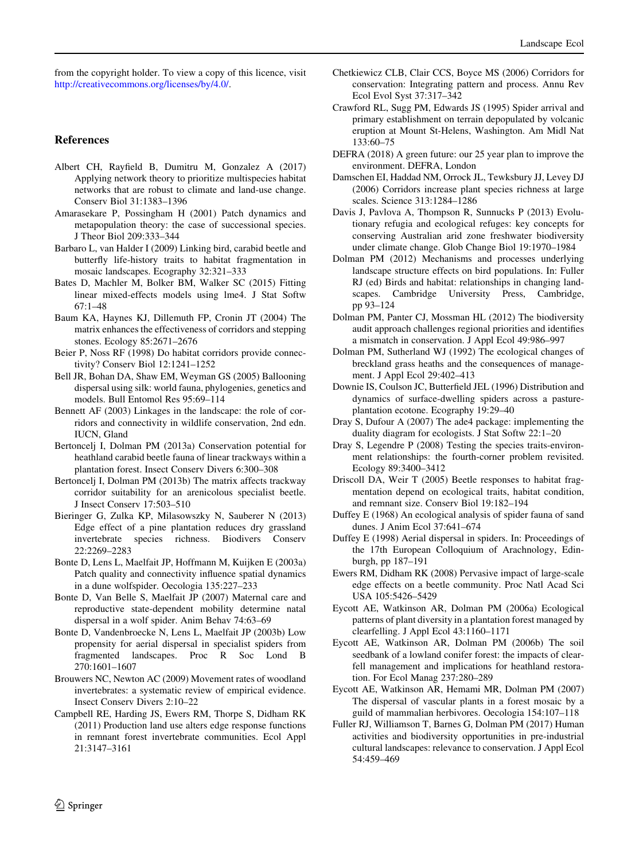<span id="page-13-0"></span>from the copyright holder. To view a copy of this licence, visit <http://creativecommons.org/licenses/by/4.0/>.

#### References

- Albert CH, Rayfield B, Dumitru M, Gonzalez A (2017) Applying network theory to prioritize multispecies habitat networks that are robust to climate and land-use change. Conserv Biol 31:1383–1396
- Amarasekare P, Possingham H (2001) Patch dynamics and metapopulation theory: the case of successional species. J Theor Biol 209:333–344
- Barbaro L, van Halder I (2009) Linking bird, carabid beetle and butterfly life-history traits to habitat fragmentation in mosaic landscapes. Ecography 32:321–333
- Bates D, Machler M, Bolker BM, Walker SC (2015) Fitting linear mixed-effects models using lme4. J Stat Softw 67:1–48
- Baum KA, Haynes KJ, Dillemuth FP, Cronin JT (2004) The matrix enhances the effectiveness of corridors and stepping stones. Ecology 85:2671–2676
- Beier P, Noss RF (1998) Do habitat corridors provide connectivity? Conserv Biol 12:1241–1252
- Bell JR, Bohan DA, Shaw EM, Weyman GS (2005) Ballooning dispersal using silk: world fauna, phylogenies, genetics and models. Bull Entomol Res 95:69–114
- Bennett AF (2003) Linkages in the landscape: the role of corridors and connectivity in wildlife conservation, 2nd edn. IUCN, Gland
- Bertoncelj I, Dolman PM (2013a) Conservation potential for heathland carabid beetle fauna of linear trackways within a plantation forest. Insect Conserv Divers 6:300–308
- Bertoncelj I, Dolman PM (2013b) The matrix affects trackway corridor suitability for an arenicolous specialist beetle. J Insect Conserv 17:503–510
- Bieringer G, Zulka KP, Milasowszky N, Sauberer N (2013) Edge effect of a pine plantation reduces dry grassland invertebrate species richness. Biodivers Conserv 22:2269–2283
- Bonte D, Lens L, Maelfait JP, Hoffmann M, Kuijken E (2003a) Patch quality and connectivity influence spatial dynamics in a dune wolfspider. Oecologia 135:227–233
- Bonte D, Van Belle S, Maelfait JP (2007) Maternal care and reproductive state-dependent mobility determine natal dispersal in a wolf spider. Anim Behav 74:63–69
- Bonte D, Vandenbroecke N, Lens L, Maelfait JP (2003b) Low propensity for aerial dispersal in specialist spiders from fragmented landscapes. Proc R Soc Lond B 270:1601–1607
- Brouwers NC, Newton AC (2009) Movement rates of woodland invertebrates: a systematic review of empirical evidence. Insect Conserv Divers 2:10–22
- Campbell RE, Harding JS, Ewers RM, Thorpe S, Didham RK (2011) Production land use alters edge response functions in remnant forest invertebrate communities. Ecol Appl 21:3147–3161
- Chetkiewicz CLB, Clair CCS, Boyce MS (2006) Corridors for conservation: Integrating pattern and process. Annu Rev Ecol Evol Syst 37:317–342
- Crawford RL, Sugg PM, Edwards JS (1995) Spider arrival and primary establishment on terrain depopulated by volcanic eruption at Mount St-Helens, Washington. Am Midl Nat 133:60–75
- DEFRA (2018) A green future: our 25 year plan to improve the environment. DEFRA, London
- Damschen EI, Haddad NM, Orrock JL, Tewksbury JJ, Levey DJ (2006) Corridors increase plant species richness at large scales. Science 313:1284–1286
- Davis J, Pavlova A, Thompson R, Sunnucks P (2013) Evolutionary refugia and ecological refuges: key concepts for conserving Australian arid zone freshwater biodiversity under climate change. Glob Change Biol 19:1970–1984
- Dolman PM (2012) Mechanisms and processes underlying landscape structure effects on bird populations. In: Fuller RJ (ed) Birds and habitat: relationships in changing landscapes. Cambridge University Press, Cambridge, pp 93–124
- Dolman PM, Panter CJ, Mossman HL (2012) The biodiversity audit approach challenges regional priorities and identifies a mismatch in conservation. J Appl Ecol 49:986–997
- Dolman PM, Sutherland WJ (1992) The ecological changes of breckland grass heaths and the consequences of management. J Appl Ecol 29:402–413
- Downie IS, Coulson JC, Butterfield JEL (1996) Distribution and dynamics of surface-dwelling spiders across a pastureplantation ecotone. Ecography 19:29–40
- Dray S, Dufour A (2007) The ade4 package: implementing the duality diagram for ecologists. J Stat Softw 22:1–20
- Dray S, Legendre P (2008) Testing the species traits-environment relationships: the fourth-corner problem revisited. Ecology 89:3400–3412
- Driscoll DA, Weir T (2005) Beetle responses to habitat fragmentation depend on ecological traits, habitat condition, and remnant size. Conserv Biol 19:182–194
- Duffey E (1968) An ecological analysis of spider fauna of sand dunes. J Anim Ecol 37:641–674
- Duffey E (1998) Aerial dispersal in spiders. In: Proceedings of the 17th European Colloquium of Arachnology, Edinburgh, pp 187–191
- Ewers RM, Didham RK (2008) Pervasive impact of large-scale edge effects on a beetle community. Proc Natl Acad Sci USA 105:5426–5429
- Eycott AE, Watkinson AR, Dolman PM (2006a) Ecological patterns of plant diversity in a plantation forest managed by clearfelling. J Appl Ecol 43:1160–1171
- Eycott AE, Watkinson AR, Dolman PM (2006b) The soil seedbank of a lowland conifer forest: the impacts of clearfell management and implications for heathland restoration. For Ecol Manag 237:280–289
- Eycott AE, Watkinson AR, Hemami MR, Dolman PM (2007) The dispersal of vascular plants in a forest mosaic by a guild of mammalian herbivores. Oecologia 154:107–118
- Fuller RJ, Williamson T, Barnes G, Dolman PM (2017) Human activities and biodiversity opportunities in pre-industrial cultural landscapes: relevance to conservation. J Appl Ecol 54:459–469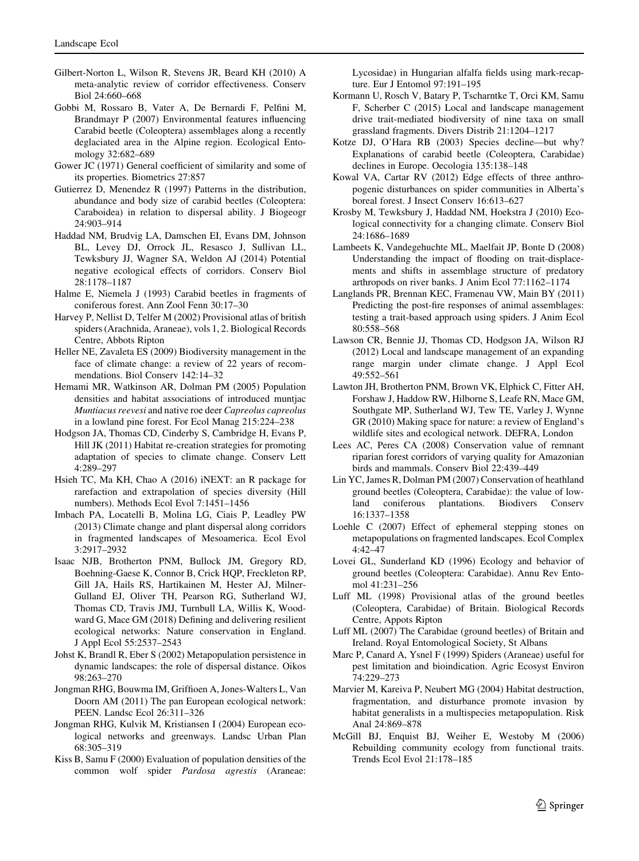- <span id="page-14-0"></span>Gilbert-Norton L, Wilson R, Stevens JR, Beard KH (2010) A meta-analytic review of corridor effectiveness. Conserv Biol 24:660–668
- Gobbi M, Rossaro B, Vater A, De Bernardi F, Pelfini M, Brandmayr P (2007) Environmental features influencing Carabid beetle (Coleoptera) assemblages along a recently deglaciated area in the Alpine region. Ecological Entomology 32:682–689
- Gower JC (1971) General coefficient of similarity and some of its properties. Biometrics 27:857
- Gutierrez D, Menendez R (1997) Patterns in the distribution, abundance and body size of carabid beetles (Coleoptera: Caraboidea) in relation to dispersal ability. J Biogeogr 24:903–914
- Haddad NM, Brudvig LA, Damschen EI, Evans DM, Johnson BL, Levey DJ, Orrock JL, Resasco J, Sullivan LL, Tewksbury JJ, Wagner SA, Weldon AJ (2014) Potential negative ecological effects of corridors. Conserv Biol 28:1178–1187
- Halme E, Niemela J (1993) Carabid beetles in fragments of coniferous forest. Ann Zool Fenn 30:17–30
- Harvey P, Nellist D, Telfer M (2002) Provisional atlas of british spiders (Arachnida, Araneae), vols 1, 2. Biological Records Centre, Abbots Ripton
- Heller NE, Zavaleta ES (2009) Biodiversity management in the face of climate change: a review of 22 years of recommendations. Biol Conserv 142:14–32
- Hemami MR, Watkinson AR, Dolman PM (2005) Population densities and habitat associations of introduced muntjac Muntiacus reevesi and native roe deer Capreolus capreolus in a lowland pine forest. For Ecol Manag 215:224–238
- Hodgson JA, Thomas CD, Cinderby S, Cambridge H, Evans P, Hill JK (2011) Habitat re-creation strategies for promoting adaptation of species to climate change. Conserv Lett 4:289–297
- Hsieh TC, Ma KH, Chao A (2016) iNEXT: an R package for rarefaction and extrapolation of species diversity (Hill numbers). Methods Ecol Evol 7:1451–1456
- Imbach PA, Locatelli B, Molina LG, Ciais P, Leadley PW (2013) Climate change and plant dispersal along corridors in fragmented landscapes of Mesoamerica. Ecol Evol 3:2917–2932
- Isaac NJB, Brotherton PNM, Bullock JM, Gregory RD, Boehning-Gaese K, Connor B, Crick HQP, Freckleton RP, Gill JA, Hails RS, Hartikainen M, Hester AJ, Milner-Gulland EJ, Oliver TH, Pearson RG, Sutherland WJ, Thomas CD, Travis JMJ, Turnbull LA, Willis K, Woodward G, Mace GM (2018) Defining and delivering resilient ecological networks: Nature conservation in England. J Appl Ecol 55:2537–2543
- Johst K, Brandl R, Eber S (2002) Metapopulation persistence in dynamic landscapes: the role of dispersal distance. Oikos 98:263–270
- Jongman RHG, Bouwma IM, Griffioen A, Jones-Walters L, Van Doorn AM (2011) The pan European ecological network: PEEN. Landsc Ecol 26:311–326
- Jongman RHG, Kulvik M, Kristiansen I (2004) European ecological networks and greenways. Landsc Urban Plan 68:305–319
- Kiss B, Samu F (2000) Evaluation of population densities of the common wolf spider Pardosa agrestis (Araneae:

Lycosidae) in Hungarian alfalfa fields using mark-recapture. Eur J Entomol 97:191–195

- Kormann U, Rosch V, Batary P, Tscharntke T, Orci KM, Samu F, Scherber C (2015) Local and landscape management drive trait-mediated biodiversity of nine taxa on small grassland fragments. Divers Distrib 21:1204–1217
- Kotze DJ, O'Hara RB (2003) Species decline—but why? Explanations of carabid beetle (Coleoptera, Carabidae) declines in Europe. Oecologia 135:138–148
- Kowal VA, Cartar RV (2012) Edge effects of three anthropogenic disturbances on spider communities in Alberta's boreal forest. J Insect Conserv 16:613–627
- Krosby M, Tewksbury J, Haddad NM, Hoekstra J (2010) Ecological connectivity for a changing climate. Conserv Biol 24:1686–1689
- Lambeets K, Vandegehuchte ML, Maelfait JP, Bonte D (2008) Understanding the impact of flooding on trait-displacements and shifts in assemblage structure of predatory arthropods on river banks. J Anim Ecol 77:1162–1174
- Langlands PR, Brennan KEC, Framenau VW, Main BY (2011) Predicting the post-fire responses of animal assemblages: testing a trait-based approach using spiders. J Anim Ecol 80:558–568
- Lawson CR, Bennie JJ, Thomas CD, Hodgson JA, Wilson RJ (2012) Local and landscape management of an expanding range margin under climate change. J Appl Ecol 49:552–561
- Lawton JH, Brotherton PNM, Brown VK, Elphick C, Fitter AH, Forshaw J, Haddow RW, Hilborne S, Leafe RN, Mace GM, Southgate MP, Sutherland WJ, Tew TE, Varley J, Wynne GR (2010) Making space for nature: a review of England's wildlife sites and ecological network. DEFRA, London
- Lees AC, Peres CA (2008) Conservation value of remnant riparian forest corridors of varying quality for Amazonian birds and mammals. Conserv Biol 22:439–449
- Lin YC, James R, Dolman PM (2007) Conservation of heathland ground beetles (Coleoptera, Carabidae): the value of lowplantations. Biodivers Conserv 16:1337–1358
- Loehle C (2007) Effect of ephemeral stepping stones on metapopulations on fragmented landscapes. Ecol Complex 4:42–47
- Lovei GL, Sunderland KD (1996) Ecology and behavior of ground beetles (Coleoptera: Carabidae). Annu Rev Entomol 41:231–256
- Luff ML (1998) Provisional atlas of the ground beetles (Coleoptera, Carabidae) of Britain. Biological Records Centre, Appots Ripton
- Luff ML (2007) The Carabidae (ground beetles) of Britain and Ireland. Royal Entomological Society, St Albans
- Marc P, Canard A, Ysnel F (1999) Spiders (Araneae) useful for pest limitation and bioindication. Agric Ecosyst Environ 74:229–273
- Marvier M, Kareiva P, Neubert MG (2004) Habitat destruction, fragmentation, and disturbance promote invasion by habitat generalists in a multispecies metapopulation. Risk Anal 24:869–878
- McGill BJ, Enquist BJ, Weiher E, Westoby M (2006) Rebuilding community ecology from functional traits. Trends Ecol Evol 21:178–185